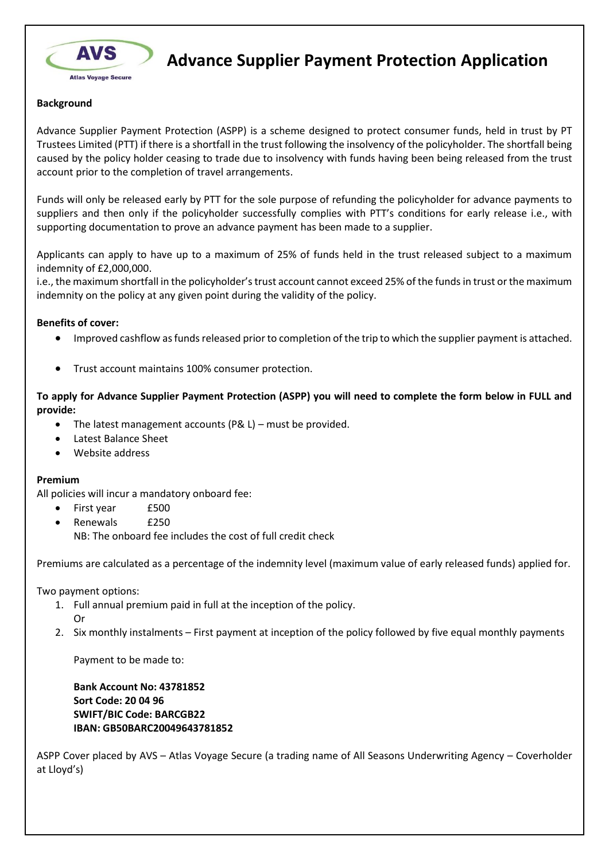

**Advance Supplier Payment Protection Application**

## **Background**

Advance Supplier Payment Protection (ASPP) is a scheme designed to protect consumer funds, held in trust by PT Trustees Limited (PTT) if there is a shortfall in the trust following the insolvency of the policyholder. The shortfall being caused by the policy holder ceasing to trade due to insolvency with funds having been being released from the trust account prior to the completion of travel arrangements.

Funds will only be released early by PTT for the sole purpose of refunding the policyholder for advance payments to suppliers and then only if the policyholder successfully complies with PTT's conditions for early release i.e., with supporting documentation to prove an advance payment has been made to a supplier.

Applicants can apply to have up to a maximum of 25% of funds held in the trust released subject to a maximum indemnity of £2,000,000.

i.e., the maximum shortfall in the policyholder's trust account cannot exceed 25% of the funds in trust or the maximum indemnity on the policy at any given point during the validity of the policy.

## **Benefits of cover:**

- Improved cashflow as funds released prior to completion of the trip to which the supplier payment is attached.
- Trust account maintains 100% consumer protection.

**To apply for Advance Supplier Payment Protection (ASPP) you will need to complete the form below in FULL and provide:**

- The latest management accounts (P& L) must be provided.
- Latest Balance Sheet
- Website address

## **Premium**

All policies will incur a mandatory onboard fee:

- First year £500
- Renewals £250 NB: The onboard fee includes the cost of full credit check

Premiums are calculated as a percentage of the indemnity level (maximum value of early released funds) applied for.

Two payment options:

- 1. Full annual premium paid in full at the inception of the policy. Or
- 2. Six monthly instalments First payment at inception of the policy followed by five equal monthly payments

Payment to be made to:

**Bank Account No: 43781852 Sort Code: 20 04 96 SWIFT/BIC Code: BARCGB22 IBAN: GB50BARC20049643781852**

ASPP Cover placed by AVS – Atlas Voyage Secure (a trading name of All Seasons Underwriting Agency – Coverholder at Lloyd's)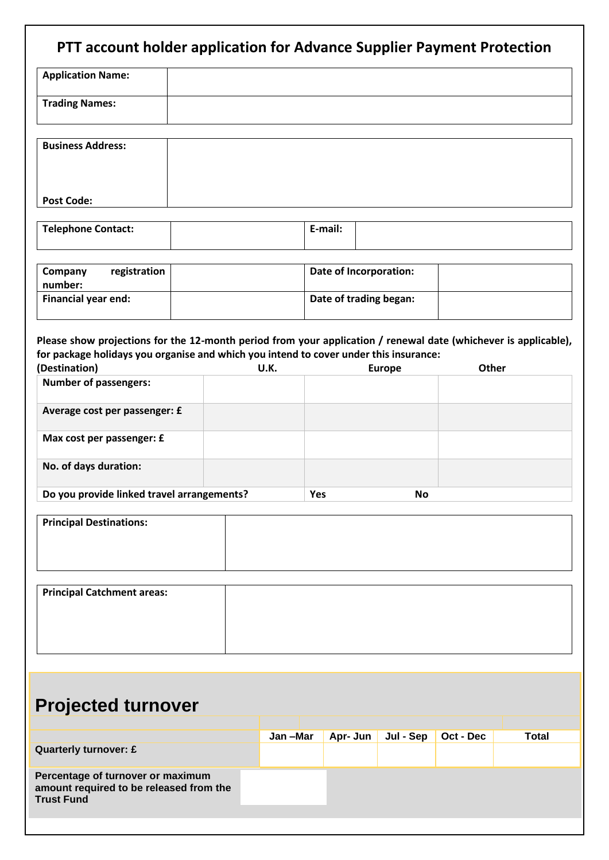| <b>Application Name:</b>                                                                                                                                                                                                                                  |  |  |         |                        |                        |               |           |              |
|-----------------------------------------------------------------------------------------------------------------------------------------------------------------------------------------------------------------------------------------------------------|--|--|---------|------------------------|------------------------|---------------|-----------|--------------|
|                                                                                                                                                                                                                                                           |  |  |         |                        |                        |               |           |              |
| <b>Trading Names:</b>                                                                                                                                                                                                                                     |  |  |         |                        |                        |               |           |              |
| <b>Business Address:</b>                                                                                                                                                                                                                                  |  |  |         |                        |                        |               |           |              |
| <b>Post Code:</b>                                                                                                                                                                                                                                         |  |  |         |                        |                        |               |           |              |
| <b>Telephone Contact:</b>                                                                                                                                                                                                                                 |  |  |         | E-mail:                |                        |               |           |              |
| registration<br>Company<br>number:                                                                                                                                                                                                                        |  |  |         |                        | Date of Incorporation: |               |           |              |
| Financial year end:                                                                                                                                                                                                                                       |  |  |         | Date of trading began: |                        |               |           |              |
| Please show projections for the 12-month period from your application / renewal date (whichever is applicable),<br>for package holidays you organise and which you intend to cover under this insurance:<br>(Destination)<br><b>Number of passengers:</b> |  |  | U.K.    |                        |                        | <b>Europe</b> | Other     |              |
| Average cost per passenger: £                                                                                                                                                                                                                             |  |  |         |                        |                        |               |           |              |
| Max cost per passenger: £                                                                                                                                                                                                                                 |  |  |         |                        |                        |               |           |              |
| No. of days duration:                                                                                                                                                                                                                                     |  |  |         |                        |                        |               |           |              |
| Do you provide linked travel arrangements?                                                                                                                                                                                                                |  |  |         | Yes                    |                        | <b>No</b>     |           |              |
| <b>Principal Destinations:</b>                                                                                                                                                                                                                            |  |  |         |                        |                        |               |           |              |
| <b>Principal Catchment areas:</b>                                                                                                                                                                                                                         |  |  |         |                        |                        |               |           |              |
|                                                                                                                                                                                                                                                           |  |  |         |                        |                        |               |           |              |
| <b>Projected turnover</b>                                                                                                                                                                                                                                 |  |  |         |                        |                        |               |           |              |
|                                                                                                                                                                                                                                                           |  |  | Jan-Mar |                        | Apr- Jun               | Jul - Sep     | Oct - Dec | <b>Total</b> |
| <b>Quarterly turnover: £</b>                                                                                                                                                                                                                              |  |  |         |                        |                        |               |           |              |
|                                                                                                                                                                                                                                                           |  |  |         |                        |                        |               |           |              |